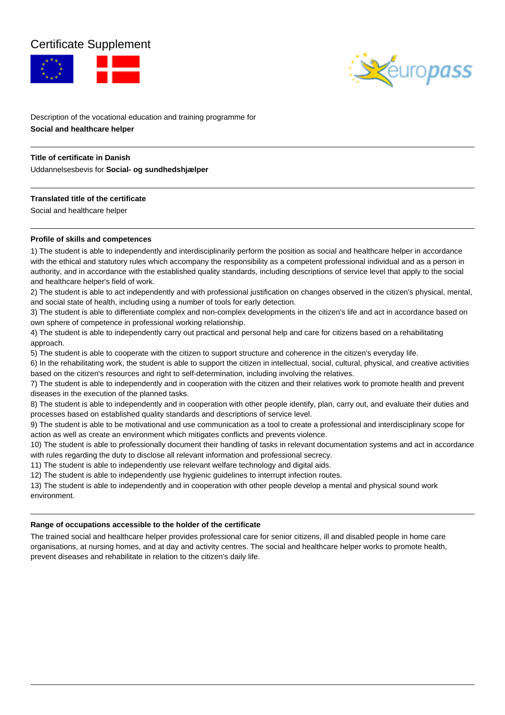# Certificate Supplement





Description of the vocational education and training programme for **Social and healthcare helper**

## **Title of certificate in Danish**

Uddannelsesbevis for **Social- og sundhedshjælper**

## **Translated title of the certificate**

Social and healthcare helper

## **Profile of skills and competences**

1) The student is able to independently and interdisciplinarily perform the position as social and healthcare helper in accordance with the ethical and statutory rules which accompany the responsibility as a competent professional individual and as a person in authority, and in accordance with the established quality standards, including descriptions of service level that apply to the social and healthcare helper's field of work.

2) The student is able to act independently and with professional justification on changes observed in the citizen's physical, mental, and social state of health, including using a number of tools for early detection.

3) The student is able to differentiate complex and non-complex developments in the citizen's life and act in accordance based on own sphere of competence in professional working relationship.

4) The student is able to independently carry out practical and personal help and care for citizens based on a rehabilitating approach.

5) The student is able to cooperate with the citizen to support structure and coherence in the citizen's everyday life.

6) In the rehabilitating work, the student is able to support the citizen in intellectual, social, cultural, physical, and creative activities based on the citizen's resources and right to self-determination, including involving the relatives.

7) The student is able to independently and in cooperation with the citizen and their relatives work to promote health and prevent diseases in the execution of the planned tasks.

8) The student is able to independently and in cooperation with other people identify, plan, carry out, and evaluate their duties and processes based on established quality standards and descriptions of service level.

9) The student is able to be motivational and use communication as a tool to create a professional and interdisciplinary scope for action as well as create an environment which mitigates conflicts and prevents violence.

10) The student is able to professionally document their handling of tasks in relevant documentation systems and act in accordance with rules regarding the duty to disclose all relevant information and professional secrecy.

11) The student is able to independently use relevant welfare technology and digital aids.

12) The student is able to independently use hygienic guidelines to interrupt infection routes.

13) The student is able to independently and in cooperation with other people develop a mental and physical sound work environment.

#### **Range of occupations accessible to the holder of the certificate**

The trained social and healthcare helper provides professional care for senior citizens, ill and disabled people in home care organisations, at nursing homes, and at day and activity centres. The social and healthcare helper works to promote health, prevent diseases and rehabilitate in relation to the citizen's daily life.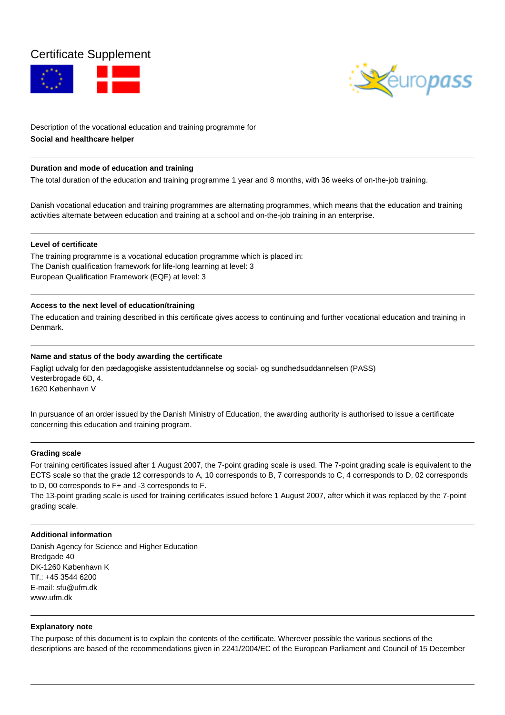# Certificate Supplement





Description of the vocational education and training programme for **Social and healthcare helper**

### **Duration and mode of education and training**

The total duration of the education and training programme 1 year and 8 months, with 36 weeks of on-the-job training.

Danish vocational education and training programmes are alternating programmes, which means that the education and training activities alternate between education and training at a school and on-the-job training in an enterprise.

### **Level of certificate**

The training programme is a vocational education programme which is placed in: The Danish qualification framework for life-long learning at level: 3 European Qualification Framework (EQF) at level: 3

### **Access to the next level of education/training**

The education and training described in this certificate gives access to continuing and further vocational education and training in Denmark.

## **Name and status of the body awarding the certificate**

Fagligt udvalg for den pædagogiske assistentuddannelse og social- og sundhedsuddannelsen (PASS) Vesterbrogade 6D, 4. 1620 København V

In pursuance of an order issued by the Danish Ministry of Education, the awarding authority is authorised to issue a certificate concerning this education and training program.

#### **Grading scale**

For training certificates issued after 1 August 2007, the 7-point grading scale is used. The 7-point grading scale is equivalent to the ECTS scale so that the grade 12 corresponds to A, 10 corresponds to B, 7 corresponds to C, 4 corresponds to D, 02 corresponds to D, 00 corresponds to F+ and -3 corresponds to F.

The 13-point grading scale is used for training certificates issued before 1 August 2007, after which it was replaced by the 7-point grading scale.

#### **Additional information**

Danish Agency for Science and Higher Education Bredgade 40 DK-1260 København K Tlf.: +45 3544 6200 E-mail: sfu@ufm.dk www.ufm.dk

## **Explanatory note**

The purpose of this document is to explain the contents of the certificate. Wherever possible the various sections of the descriptions are based of the recommendations given in 2241/2004/EC of the European Parliament and Council of 15 December